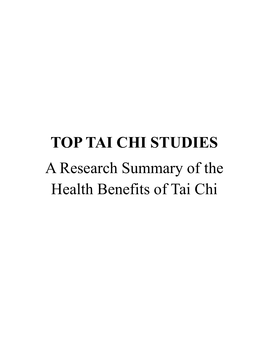# **TOP TAI CHI STUDIES** A Research Summary of the Health Benefits of Tai Chi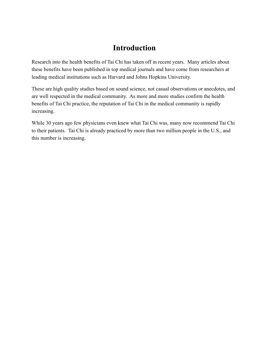## **Introduction**

Research into the health benefits of Tai Chi has taken off in recent years. Many articles about these benefits have been published in top medical journals and have come from researchers at leading medical institutions such as Harvard and Johns Hopkins University.

These are high quality studies based on sound science, not casual observations or anecdotes, and are well respected in the medical community. As more and more studies confirm the health benefits of Tai Chi practice, the reputation of Tai Chi in the medical community is rapidly increasing.

While 30 years ago few physicians even knew what Tai Chi was, many now recommend Tai Chi to their patients. Tai Chi is already practiced by more than two million people in the U.S., and this number is increasing.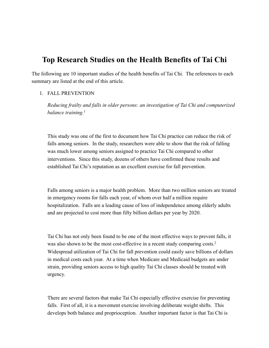### **Top Research Studies on the Health Benefits of Tai Chi**

The following are 10 important studies of the health benefits of Tai Chi. The references to each summary are listed at the end of this article.

#### 1. FALL PREVENTION

*Reducing frailty and falls in older persons: an investigation of Tai Chi and computerized balance training.*<sup>1</sup>

This study was one of the first to document how Tai Chi practice can reduce the risk of falls among seniors. In the study, researchers were able to show that the risk of falling was much lower among seniors assigned to practice Tai Chi compared to other interventions. Since this study, dozens of others have confirmed these results and established Tai Chi's reputation as an excellent exercise for fall prevention.

Falls among seniors is a major health problem. More than two million seniors are treated in emergency rooms for falls each year, of whom over half a million require hospitalization. Falls are a leading cause of loss of independence among elderly adults and are projected to cost more than fifty billion dollars per year by 2020.

Tai Chi has not only been found to be one of the most effective ways to prevent falls, it was also shown to be the most cost-effective in a recent study comparing costs.<sup>2</sup> Widespread utilization of Tai Chi for fall prevention could easily save billions of dollars in medical costs each year. At a time when Medicare and Medicaid budgets are under strain, providing seniors access to high quality Tai Chi classes should be treated with urgency.

There are several factors that make Tai Chi especially effective exercise for preventing falls. First of all, it is a movement exercise involving deliberate weight shifts. This develops both balance and proprioception. Another important factor is that Tai Chi is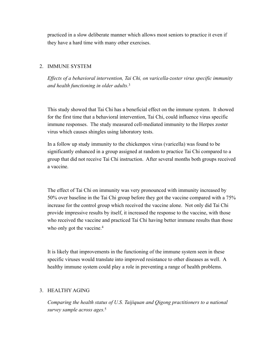practiced in a slow deliberate manner which allows most seniors to practice it even if they have a hard time with many other exercises.

#### 2. IMMUNE SYSTEM

*Effects of a behavioral intervention, Tai Chi, on varicella-zoster virus specific immunity and health functioning in older adults.*<sup>3</sup>

This study showed that Tai Chi has a beneficial effect on the immune system. It showed for the first time that a behavioral intervention, Tai Chi, could influence virus specific immune responses. The study measured cell-mediated immunity to the Herpes zoster virus which causes shingles using laboratory tests.

In a follow up study immunity to the chickenpox virus (varicella) was found to be significantly enhanced in a group assigned at random to practice Tai Chi compared to a group that did not receive Tai Chi instruction. After several months both groups received a vaccine.

The effect of Tai Chi on immunity was very pronounced with immunity increased by 50% over baseline in the Tai Chi group before they got the vaccine compared with a 75% increase for the control group which received the vaccine alone. Not only did Tai Chi provide impressive results by itself, it increased the response to the vaccine, with those who received the vaccine and practiced Tai Chi having better immune results than those who only got the vaccine.<sup>4</sup>

It is likely that improvements in the functioning of the immune system seen in these specific viruses would translate into improved resistance to other diseases as well. A healthy immune system could play a role in preventing a range of health problems.

#### 3. HEALTHY AGING

*Comparing the health status of U.S. Taijiquan and Qigong practitioners to a national survey sample across ages.*5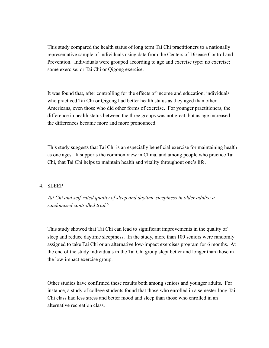This study compared the health status of long term Tai Chi practitioners to a nationally representative sample of individuals using data from the Centers of Disease Control and Prevention. Individuals were grouped according to age and exercise type: no exercise; some exercise; or Tai Chi or Qigong exercise.

It was found that, after controlling for the effects of income and education, individuals who practiced Tai Chi or Qigong had better health status as they aged than other Americans, even those who did other forms of exercise. For younger practitioners, the difference in health status between the three groups was not great, but as age increased the differences became more and more pronounced.

This study suggests that Tai Chi is an especially beneficial exercise for maintaining health as one ages. It supports the common view in China, and among people who practice Tai Chi, that Tai Chi helps to maintain health and vitality throughout one's life.

#### 4. SLEEP

*Tai Chi and self-rated quality of sleep and daytime sleepiness in older adults: a randomized controlled trial.*<sup>6</sup>

This study showed that Tai Chi can lead to significant improvements in the quality of sleep and reduce daytime sleepiness. In the study, more than 100 seniors were randomly assigned to take Tai Chi or an alternative low-impact exercises program for 6 months. At the end of the study individuals in the Tai Chi group slept better and longer than those in the low-impact exercise group.

Other studies have confirmed these results both among seniors and younger adults. For instance, a study of college students found that those who enrolled in a semester-long Tai Chi class had less stress and better mood and sleep than those who enrolled in an alternative recreation class.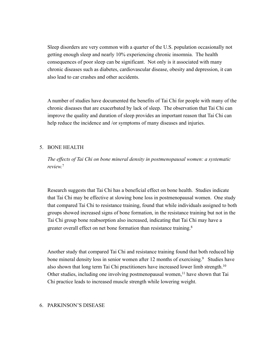Sleep disorders are very common with a quarter of the U.S. population occasionally not getting enough sleep and nearly 10% experiencing chronic insomnia. The health consequences of poor sleep can be significant. Not only is it associated with many chronic diseases such as diabetes, cardiovascular disease, obesity and depression, it can also lead to car crashes and other accidents.

A number of studies have documented the benefits of Tai Chi for people with many of the chronic diseases that are exacerbated by lack of sleep. The observation that Tai Chi can improve the quality and duration of sleep provides an important reason that Tai Chi can help reduce the incidence and /or symptoms of many diseases and injuries.

#### 5. BONE HEALTH

*The effects of Tai Chi on bone mineral density in postmenopausal women: a systematic review.*<sup>7</sup>

Research suggests that Tai Chi has a beneficial effect on bone health. Studies indicate that Tai Chi may be effective at slowing bone loss in postmenopausal women. One study that compared Tai Chi to resistance training, found that while individuals assigned to both groups showed increased signs of bone formation, in the resistance training but not in the Tai Chi group bone reabsorption also increased, indicating that Tai Chi may have a greater overall effect on net bone formation than resistance training.8

Another study that compared Tai Chi and resistance training found that both reduced hip bone mineral density loss in senior women after 12 months of exercising.<sup>9</sup> Studies have also shown that long term Tai Chi practitioners have increased lower limb strength.<sup>10</sup> Other studies, including one involving postmenopausal women,<sup>11</sup> have shown that Tai Chi practice leads to increased muscle strength while lowering weight.

#### 6. PARKINSON'S DISEASE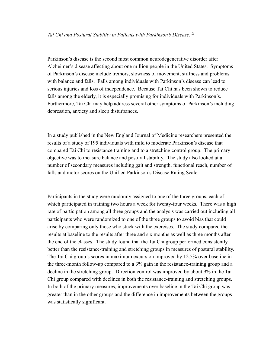Parkinson's disease is the second most common neurodegenerative disorder after Alzheimer's disease affecting about one million people in the United States. Symptoms of Parkinson's disease include tremors, slowness of movement, stiffness and problems with balance and falls. Falls among individuals with Parkinson's disease can lead to serious injuries and loss of independence. Because Tai Chi has been shown to reduce falls among the elderly, it is especially promising for individuals with Parkinson's. Furthermore, Tai Chi may help address several other symptoms of Parkinson's including depression, anxiety and sleep disturbances.

In a study published in the New England Journal of Medicine researchers presented the results of a study of 195 individuals with mild to moderate Parkinson's disease that compared Tai Chi to resistance training and to a stretching control group. The primary objective was to measure balance and postural stability. The study also looked at a number of secondary measures including gait and strength, functional reach, number of falls and motor scores on the Unified Parkinson's Disease Rating Scale.

Participants in the study were randomly assigned to one of the three groups, each of which participated in training two hours a week for twenty-four weeks. There was a high rate of participation among all three groups and the analysis was carried out including all participants who were randomized to one of the three groups to avoid bias that could arise by comparing only those who stuck with the exercises. The study compared the results at baseline to the results after three and six months as well as three months after the end of the classes. The study found that the Tai Chi group performed consistently better than the resistance-training and stretching groups in measures of postural stability. The Tai Chi group's scores in maximum excursion improved by 12.5% over baseline in the three-month follow-up compared to a 3% gain in the resistance-training group and a decline in the stretching group. Direction control was improved by about 9% in the Tai Chi group compared with declines in both the resistance-training and stretching groups. In both of the primary measures, improvements over baseline in the Tai Chi group was greater than in the other groups and the difference in improvements between the groups was statistically significant.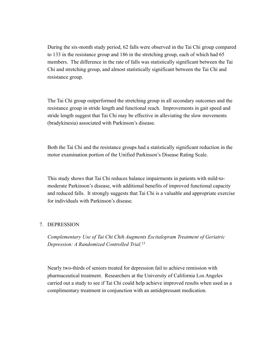During the six-month study period, 62 falls were observed in the Tai Chi group compared to 133 in the resistance group and 186 in the stretching group, each of which had 65 members. The difference in the rate of falls was statistically significant between the Tai Chi and stretching group, and almost statistically significant between the Tai Chi and resistance group.

The Tai Chi group outperformed the stretching group in all secondary outcomes and the resistance group in stride length and functional reach. Improvements in gait speed and stride length suggest that Tai Chi may be effective in alleviating the slow movements (bradykinesia) associated with Parkinson's disease.

Both the Tai Chi and the resistance groups had a statistically significant reduction in the motor examination portion of the Unified Parkinson's Disease Rating Scale.

This study shows that Tai Chi reduces balance impairments in patients with mild-tomoderate Parkinson's disease, with additional benefits of improved functional capacity and reduced falls. It strongly suggests that Tai Chi is a valuable and appropriate exercise for individuals with Parkinson's disease.

#### 7. DEPRESSION

*Complementary Use of Tai Chi Chih Augments Escitalopram Treatment of Geriatric Depression: A Randomized Controlled Trial.*<sup>13</sup>

Nearly two-thirds of seniors treated for depression fail to achieve remission with pharmaceutical treatment. Researchers at the University of California Los Angeles carried out a study to see if Tai Chi could help achieve improved results when used as a complimentary treatment in conjunction with an antidepressant medication.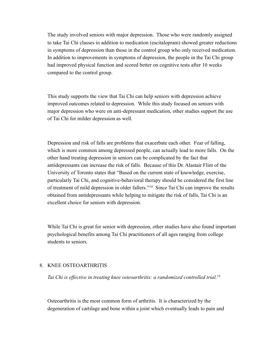The study involved seniors with major depression. Those who were randomly assigned to take Tai Chi classes in addition to medication (escitalopram) showed greater reductions in symptoms of depression than those in the control group who only received medication. In addition to improvements in symptoms of depression, the people in the Tai Chi group had improved physical function and scored better on cognitive tests after 10 weeks compared to the control group.

This study supports the view that Tai Chi can help seniors with depression achieve improved outcomes related to depression. While this study focused on seniors with major depression who were on anti-depressant medication, other studies support the use of Tai Chi for milder depression as well.

Depression and risk of falls are problems that exacerbate each other. Fear of falling, which is more common among depressed people, can actually lead to more falls. On the other hand treating depression in seniors can be complicated by the fact that antidepressants can increase the risk of falls. Because of this Dr. Alastair Flint of the University of Toronto states that "Based on the current state of knowledge, exercise, particularly Tai Chi, and cognitive-behavioral therapy should be considered the first line of treatment of mild depression in older fallers."14 Since Tai Chi can improve the results obtained from antidepressants while helping to mitigate the risk of falls, Tai Chi is an excellent choice for seniors with depression.

While Tai Chi is great for senior with depression, other studies have also found important psychological benefits among Tai Chi practitioners of all ages ranging from college students to seniors.

#### 8. KNEE OSTEOARTHRITIS

*Tai Chi is effective in treating knee osteoarthritis: a randomized controlled trial.*<sup>15</sup>

Osteoarthritis is the most common form of arthritis. It is characterized by the degeneration of cartilage and bone within a joint which eventually leads to pain and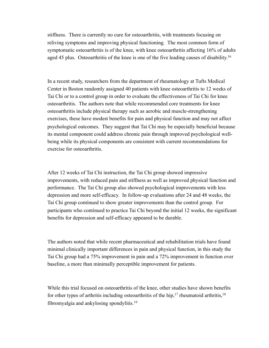stiffness. There is currently no cure for osteoarthritis, with treatments focusing on reliving symptoms and improving physical functioning. The most common form of symptomatic osteoarthritis is of the knee, with knee osteoarthritis affecting 16% of adults aged 45 plus. Osteoarthritis of the knee is one of the five leading causes of disability.<sup>16</sup>

In a recent study, researchers from the department of rheumatology at Tufts Medical Center in Boston randomly assigned 40 patients with knee osteoarthritis to 12 weeks of Tai Chi or to a control group in order to evaluate the effectiveness of Tai Chi for knee osteoarthritis. The authors note that while recommended core treatments for knee osteoarthritis include physical therapy such as aerobic and muscle-strengthening exercises, these have modest benefits for pain and physical function and may not affect psychological outcomes. They suggest that Tai Chi may be especially beneficial because its mental component could address chronic pain through improved psychological wellbeing while its physical components are consistent with current recommendations for exercise for osteoarthritis.

After 12 weeks of Tai Chi instruction, the Tai Chi group showed impressive improvements, with reduced pain and stiffness as well as improved physical function and performance. The Tai Chi group also showed psychological improvements with less depression and more self-efficacy. In follow-up evaluations after 24 and 48 weeks, the Tai Chi group continued to show greater improvements than the control group. For participants who continued to practice Tai Chi beyond the initial 12 weeks, the significant benefits for depression and self-efficacy appeared to be durable.

The authors noted that while recent pharmaceutical and rehabilitation trials have found minimal clinically important differences in pain and physical function, in this study the Tai Chi group had a 75% improvement in pain and a 72% improvement in function over baseline, a more than minimally perceptible improvement for patients.

While this trial focused on osteoarthritis of the knee, other studies have shown benefits for other types of arthritis including osteoarthritis of the hip,<sup>17</sup> rheumatoid arthritis,<sup>18</sup> fibromyalgia and ankylosing spondylitis.19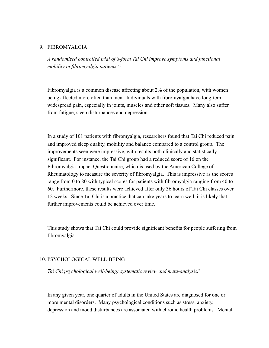#### 9. FIBROMYALGIA

*A randomized controlled trial of 8-form Tai Chi improve symptoms and functional mobility in fibromyalgia patients.*<sup>20</sup>

Fibromyalgia is a common disease affecting about 2% of the population, with women being affected more often than men. Individuals with fibromyalgia have long-term widespread pain, especially in joints, muscles and other soft tissues. Many also suffer from fatigue, sleep disturbances and depression.

In a study of 101 patients with fibromyalgia, researchers found that Tai Chi reduced pain and improved sleep quality, mobility and balance compared to a control group. The improvements seen were impressive, with results both clinically and statistically significant. For instance, the Tai Chi group had a reduced score of 16 on the Fibromyalgia Impact Questionnaire, which is used by the American College of Rheumatology to measure the severity of fibromyalgia. This is impressive as the scores range from 0 to 80 with typical scores for patients with fibromyalgia ranging from 40 to 60. Furthermore, these results were achieved after only 36 hours of Tai Chi classes over 12 weeks. Since Tai Chi is a practice that can take years to learn well, it is likely that further improvements could be achieved over time.

This study shows that Tai Chi could provide significant benefits for people suffering from fibromyalgia.

#### 10. PSYCHOLOGICAL WELL-BEING

*Tai Chi psychological well-being: systematic review and meta-analysis.*<sup>21</sup>

In any given year, one quarter of adults in the United States are diagnosed for one or more mental disorders. Many psychological conditions such as stress, anxiety, depression and mood disturbances are associated with chronic health problems. Mental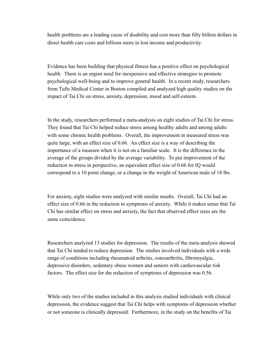health problems are a leading cause of disability and cost more than fifty billion dollars in direct health care costs and billions more in lost income and productivity.

Evidence has been building that physical fitness has a positive effect on psychological health. There is an urgent need for inexpensive and effective strategies to promote psychological well-being and to improve general health. In a recent study, researchers from Tufts Medical Center in Boston compiled and analyzed high quality studies on the impact of Tai Chi on stress, anxiety, depression, mood and self-esteem.

In the study, researchers performed a meta-analysis on eight studies of Tai Chi for stress. They found that Tai Chi helped reduce stress among healthy adults and among adults with some chronic health problems. Overall, the improvement in measured stress was quite large, with an effect size of 0.66. An effect size is a way of describing the importance of a measure when it is not on a familiar scale. It is the difference in the average of the groups divided by the average variability. To put improvement of the reduction in stress in perspective, an equivalent effect size of 0.66 for IQ would correspond to a 10 point change, or a change in the weight of American male of 18 lbs.

For anxiety, eight studies were analyzed with similar results. Overall, Tai Chi had an effect size of 0.66 in the reduction in symptoms of anxiety. While it makes sense that Tai Chi has similar effect on stress and anxiety, the fact that observed effect sizes are the same coincidence.

Researchers analyzed 13 studies for depression. The results of the meta-analysis showed that Tai Chi tended to reduce depression. The studies involved individuals with a wide range of conditions including rheumatoid arthritis, osteoarthritis, fibromyalgia, depressive disorders, sedentary obese women and seniors with cardiovascular risk factors. The effect size for the reduction of symptoms of depression was 0.56.

While only two of the studies included in this analysis studied individuals with clinical depression, the evidence suggest that Tai Chi helps with symptoms of depression whether or not someone is clinically depressed. Furthermore, in the study on the benefits of Tai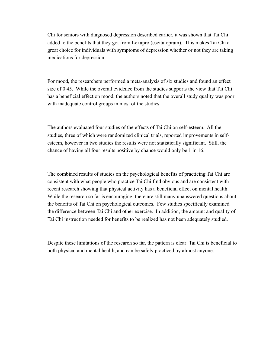Chi for seniors with diagnosed depression described earlier, it was shown that Tai Chi added to the benefits that they got from Lexapro (escitalopram). This makes Tai Chi a great choice for individuals with symptoms of depression whether or not they are taking medications for depression.

For mood, the researchers performed a meta-analysis of six studies and found an effect size of 0.45. While the overall evidence from the studies supports the view that Tai Chi has a beneficial effect on mood, the authors noted that the overall study quality was poor with inadequate control groups in most of the studies.

The authors evaluated four studies of the effects of Tai Chi on self-esteem. All the studies, three of which were randomized clinical trials, reported improvements in selfesteem, however in two studies the results were not statistically significant. Still, the chance of having all four results positive by chance would only be 1 in 16.

The combined results of studies on the psychological benefits of practicing Tai Chi are consistent with what people who practice Tai Chi find obvious and are consistent with recent research showing that physical activity has a beneficial effect on mental health. While the research so far is encouraging, there are still many unanswered questions about the benefits of Tai Chi on psychological outcomes. Few studies specifically examined the difference between Tai Chi and other exercise. In addition, the amount and quality of Tai Chi instruction needed for benefits to be realized has not been adequately studied.

Despite these limitations of the research so far, the pattern is clear: Tai Chi is beneficial to both physical and mental health, and can be safely practiced by almost anyone.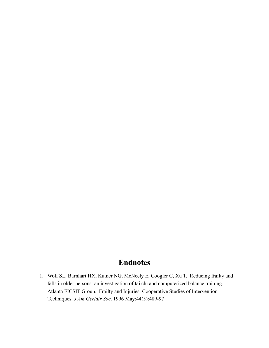## **Endnotes**

1. Wolf SL, Barnhart HX, Kutner NG, McNeely E, Coogler C, Xu T. Reducing frailty and falls in older persons: an investigation of tai chi and computerized balance training. Atlanta FICSIT Group. Frailty and Injuries: Cooperative Studies of Intervention Techniques. *J Am Geriatr Soc*. 1996 May;44(5):489-97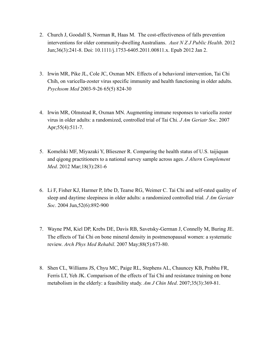- 2. Church J, Goodall S, Norman R, Haas M. The cost-effectiveness of falls prevention interventions for older community-dwelling Australians. *Aust N Z J Public Health*. 2012 Jun;36(3):241-8. Doi: 10.1111/j.1753-6405.2011.00811.x. Epub 2012 Jan 2.
- 3. Irwin MR, Pike JL, Cole JC, Oxman MN. Effects of a behavioral intervention, Tai Chi Chih, on varicella-zoster virus specific immunity and health functioning in older adults. *Psychsom Med* 2003-9-26 65(5) 824-30
- 4. Irwin MR, Olmstead R, Oxman MN. Augmenting immune responses to varicella zoster virus in older adults: a randomized, controlled trial of Tai Chi. *J Am Geriatr Soc*. 2007 Apr;55(4):511-7.
- 5. Komelski MF, Miyazaki Y, Blieszner R. Comparing the health status of U.S. taijiquan and qigong practitioners to a national survey sample across ages. *J Altern Complement Med*. 2012 Mar;18(3):281-6
- 6. Li F, Fisher KJ, Harmer P, Irbe D, Tearse RG, Weimer C. Tai Chi and self-rated quality of sleep and daytime sleepiness in older adults: a randomized controlled trial*. J Am Geriatr Soc*. 2004 Jun,52(6):892-900
- 7. Wayne PM, Kiel DP, Krebs DE, Davis RB, Savetsky-German J, Connelly M, Buring JE. The effects of Tai Chi on bone mineral density in postmenopausal women: a systematic review. *Arch Phys Med Rehabil*. 2007 May;88(5):673-80.
- 8. Shen CL, Williams JS, Chyu MC, Paige RL, Stephens AL, Chauncey KB, Prabhu FR, Ferris LT, Yeh JK. Comparison of the effects of Tai Chi and resistance training on bone metabolism in the elderly: a feasibility study. *Am J Chin Med*. 2007;35(3):369-81.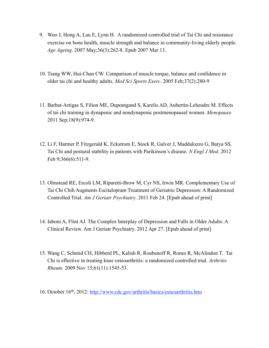- 9. Woo J, Hong A, Lau E, Lynn H. A randomized controlled trial of Tai Chi and resistance exercise on bone health, muscle strength and balance in community-living elderly people. *Age Ageing*. 2007 May;36(3):262-8. Epub 2007 Mar 13.
- 10. Tsang WW, Hui-Chan CW. Comparison of muscle torque, balance and confidence in older tai chi and healthy adults. *Med Sci Sports Exerc*. 2005 Feb;37(2):280-9
- 11. Barbat-Artigas S, Filion ME, Dupontgand S, Karelis AD, Aubertin-Leheudre M. Effects of tai chi training in dynapenic and nondynapenic postmenopausal women. *Menopause.* 2011 Sep;18(9):974-9.
- 12. Li F, Harmer P, Fitzgerald K, Eckstrom E, Stock R, Galver J, Maddalozzo G, Batya SS. Tai Chi and postural stability in patients with Parikinson's disease. *N Engl J Med*. 2012 Feb 9;366(6):511-9.
- 13. Olmstead RE, Ercoli LM, Riparetti-Brow M, Cyr NS, Irwin MR. Complementary Use of Tai Chi Chih Augments Escitalopram Treatment of Geriatric Depression: A Randomized Controlled Trial. *Am J Geriatr Psychiatry*. 2011 Feb 24. [Epub ahead of print]
- 14. Iaboni A, Flint AJ. The Complex Interplay of Depression and Falls in Older Adults: A Clinical Review. Am J Geriatr Psychiatry. 2012 Apr 27. [Epub ahead of print]
- 15. Wang C, Schmid CH, Hibberd PL, Kalish R, Roubenoff R, Rones R, McAlindon T. Tai Chi is effective in treating knee osteoarthritis: a randomized controlled trial. *Arthritis Rheum.* 2009 Nov 15;61(11):1545-53.
- 16. October 16th, 2012:<http://www.cdc.gov/arthritis/basics/osteoarthritis.htm>